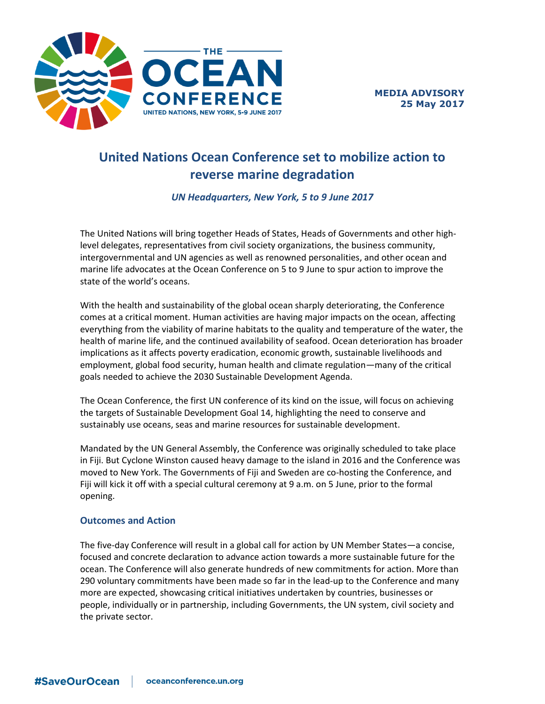

# **United Nations Ocean Conference set to mobilize action to reverse marine degradation**

*UN Headquarters, New York, 5 to 9 June 2017*

The United Nations will bring together Heads of States, Heads of Governments and other highlevel delegates, representatives from civil society organizations, the business community, intergovernmental and UN agencies as well as renowned personalities, and other ocean and marine life advocates at the Ocean Conference on 5 to 9 June to spur action to improve the state of the world's oceans.

With the health and sustainability of the global ocean sharply deteriorating, the Conference comes at a critical moment. Human activities are having major impacts on the ocean, affecting everything from the viability of marine habitats to the quality and temperature of the water, the health of marine life, and the continued availability of seafood. Ocean deterioration has broader implications as it affects poverty eradication, economic growth, sustainable livelihoods and employment, global food security, human health and climate regulation—many of the critical goals needed to achieve the 2030 Sustainable Development Agenda.

The Ocean Conference, the first UN conference of its kind on the issue, will focus on achieving the targets of Sustainable Development Goal 14, highlighting the need to conserve and sustainably use oceans, seas and marine resources for sustainable development.

Mandated by the UN General Assembly, the Conference was originally scheduled to take place in Fiji. But Cyclone Winston caused heavy damage to the island in 2016 and the Conference was moved to New York. The Governments of Fiji and Sweden are co-hosting the Conference, and Fiji will kick it off with a special cultural ceremony at 9 a.m. on 5 June, prior to the formal opening.

# **Outcomes and Action**

The five-day Conference will result in a global call for action by UN Member States—a concise, focused and concrete declaration to advance action towards a more sustainable future for the ocean. The Conference will also generate hundreds of new commitments for action. More than 290 voluntary commitments have been made so far in the lead-up to the Conference and many more are expected, showcasing critical initiatives undertaken by countries, businesses or people, individually or in partnership, including Governments, the UN system, civil society and the private sector.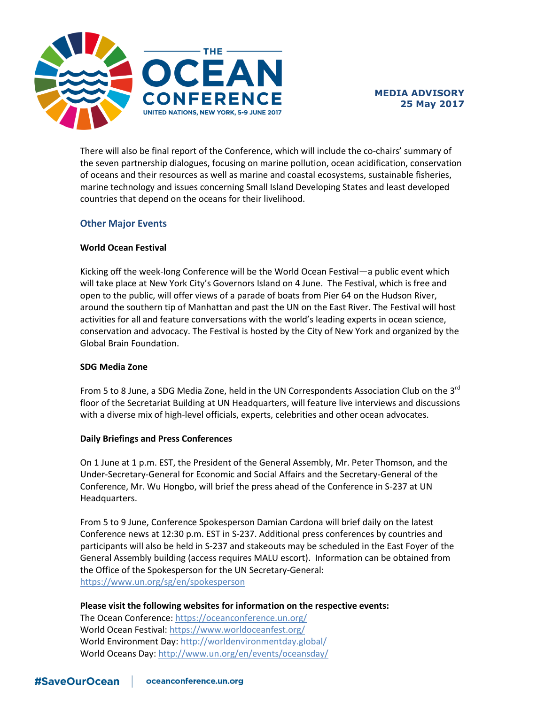



There will also be final report of the Conference, which will include the co-chairs' summary of the seven partnership dialogues, focusing on marine pollution, ocean acidification, conservation of oceans and their resources as well as marine and coastal ecosystems, sustainable fisheries, marine technology and issues concerning Small Island Developing States and least developed countries that depend on the oceans for their livelihood.

## **Other Major Events**

#### **World Ocean Festival**

Kicking off the week-long Conference will be the World Ocean Festival—a public event which will take place at New York City's Governors Island on 4 June. The Festival, which is free and open to the public, will offer views of a parade of boats from Pier 64 on the Hudson River, around the southern tip of Manhattan and past the UN on the East River. The Festival will host activities for all and feature conversations with the world's leading experts in ocean science, conservation and advocacy. The Festival is hosted by the City of New York and organized by the Global Brain Foundation.

#### **SDG Media Zone**

From 5 to 8 June, a SDG Media Zone, held in the UN Correspondents Association Club on the  $3^{rd}$ floor of the Secretariat Building at UN Headquarters, will feature live interviews and discussions with a diverse mix of high-level officials, experts, celebrities and other ocean advocates.

#### **Daily Briefings and Press Conferences**

On 1 June at 1 p.m. EST, the President of the General Assembly, Mr. Peter Thomson, and the Under-Secretary-General for Economic and Social Affairs and the Secretary-General of the Conference, Mr. Wu Hongbo, will brief the press ahead of the Conference in S-237 at UN Headquarters.

From 5 to 9 June, Conference Spokesperson Damian Cardona will brief daily on the latest Conference news at 12:30 p.m. EST in S-237. Additional press conferences by countries and participants will also be held in S-237 and stakeouts may be scheduled in the East Foyer of the General Assembly building (access requires MALU escort). Information can be obtained from the Office of the Spokesperson for the UN Secretary-General: <https://www.un.org/sg/en/spokesperson>

## **Please visit the following websites for information on the respective events:**

The Ocean Conference:<https://oceanconference.un.org/> World Ocean Festival[: https://www.worldoceanfest.org/](https://www.worldoceanfest.org/) World Environment Day:<http://worldenvironmentday.global/> World Oceans Day: <http://www.un.org/en/events/oceansday/>